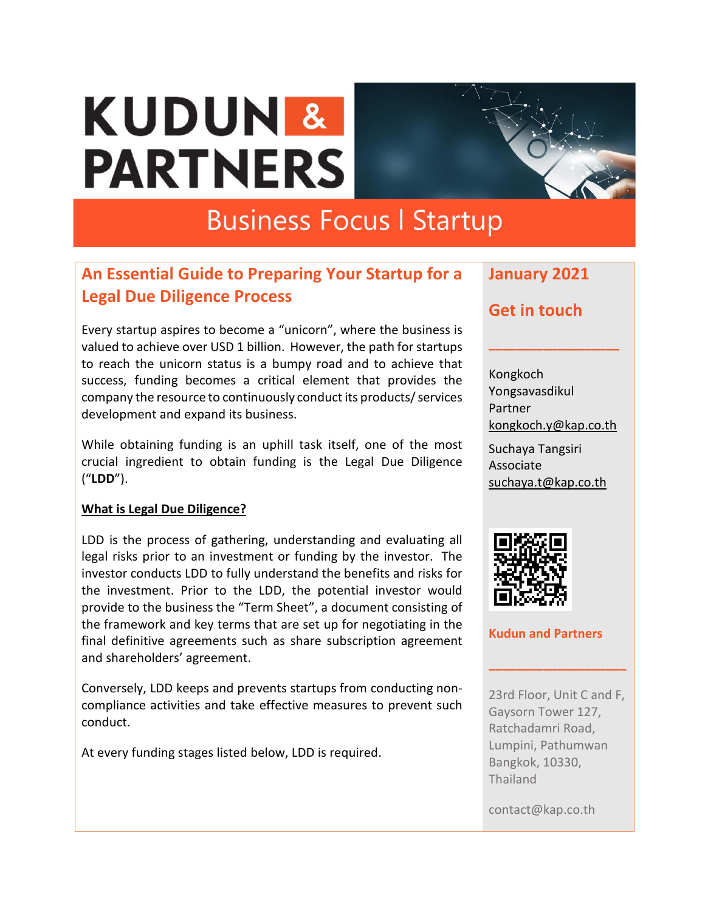# **KUDUN & PARTNERS**



# **Business Focus | Startup**

# **An Essential Guide to Preparing Your Startup for a Legal Due Diligence Process**

Every startup aspires to become a "unicorn", where the business is valued to achieve over USD 1 billion. However, the path for startups to reach the unicorn status is a bumpy road and to achieve that success, funding becomes a critical element that provides the company the resource to continuously conduct its products/ services development and expand its business.

While obtaining funding is an uphill task itself, one of the most crucial ingredient to obtain funding is the Legal Due Diligence ("**LDD**").

#### **What is Legal Due Diligence?**

LDD is the process of gathering, understanding and evaluating all legal risks prior to an investment or funding by the investor. The investor conducts LDD to fully understand the benefits and risks for the investment. Prior to the LDD, the potential investor would provide to the business the "Term Sheet", a document consisting of the framework and key terms that are set up for negotiating in the final definitive agreements such as share subscription agreement and shareholders' agreement.

Conversely, LDD keeps and prevents startups from conducting noncompliance activities and take effective measures to prevent such conduct.

At every funding stages listed below, LDD is required.

# **January 2021**

## **Get in touch**

Kongkoch Yongsavasdikul Partner kongkoch.y@kap.co.th Suchaya Tangsiri Associate [suchaya.t@kap.co.th](mailto:suchaya.t@kap.co.th)

**\_\_\_\_\_\_\_\_\_\_\_\_\_\_\_\_\_\_\_**



#### **Kudun and Partners**

23rd Floor, Unit C and F, Gaysorn Tower 127, Ratchadamri Road, Lumpini, Pathumwan Bangkok, 10330, Thailand

**\_\_\_\_\_\_\_\_\_\_\_\_\_\_\_\_\_\_\_\_**

contact@kap.co.th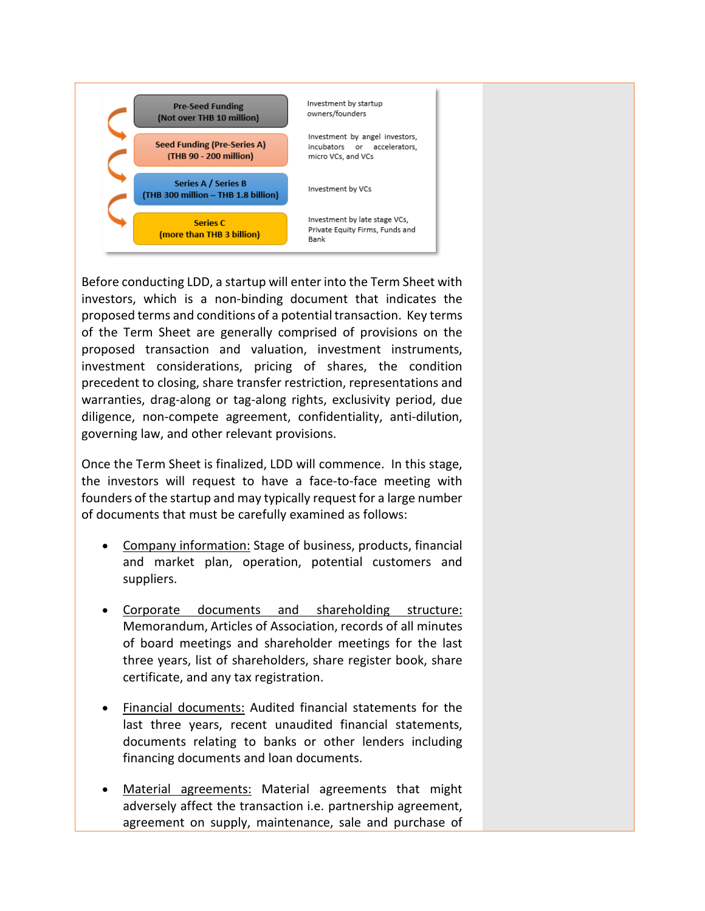

Before conducting LDD, a startup will enter into the Term Sheet with investors, which is a non-binding document that indicates the proposed terms and conditions of a potential transaction. Key terms of the Term Sheet are generally comprised of provisions on the proposed transaction and valuation, investment instruments, investment considerations, pricing of shares, the condition precedent to closing, share transfer restriction, representations and warranties, drag-along or tag-along rights, exclusivity period, due diligence, non-compete agreement, confidentiality, anti-dilution, governing law, and other relevant provisions.

Once the Term Sheet is finalized, LDD will commence. In this stage, the investors will request to have a face-to-face meeting with founders of the startup and may typically request for a large number of documents that must be carefully examined as follows:

- Company information: Stage of business, products, financial and market plan, operation, potential customers and suppliers.
- Corporate documents and shareholding structure: Memorandum, Articles of Association, records of all minutes of board meetings and shareholder meetings for the last three years, list of shareholders, share register book, share certificate, and any tax registration.
- Financial documents: Audited financial statements for the last three years, recent unaudited financial statements, documents relating to banks or other lenders including financing documents and loan documents.
- Material agreements: Material agreements that might adversely affect the transaction i.e. partnership agreement, agreement on supply, maintenance, sale and purchase of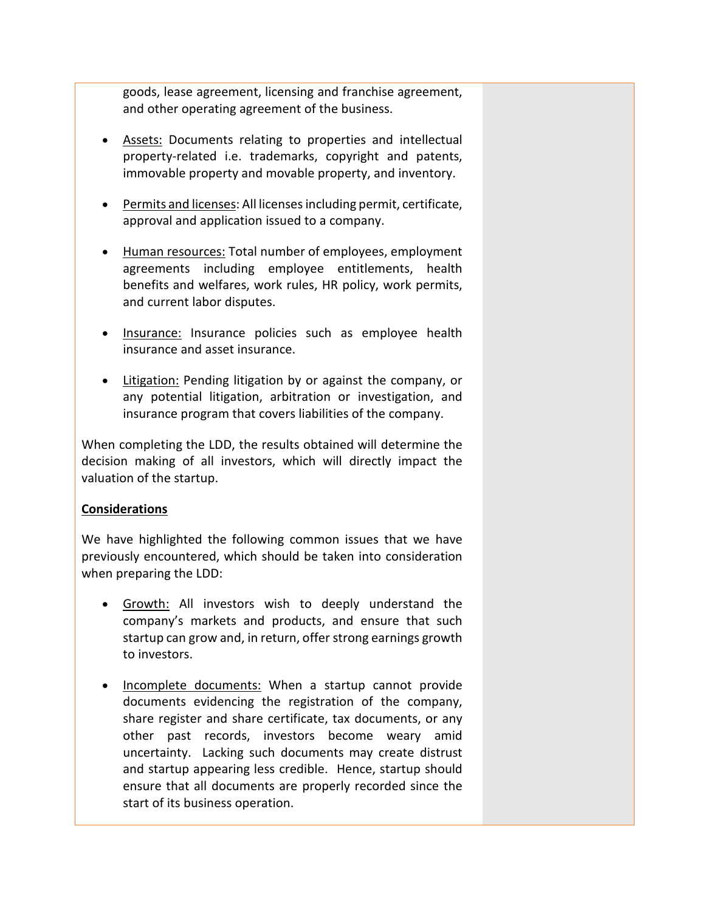goods, lease agreement, licensing and franchise agreement, and other operating agreement of the business.

- Assets: Documents relating to properties and intellectual property-related i.e. trademarks, copyright and patents, immovable property and movable property, and inventory.
- Permits and licenses: All licensesincluding permit, certificate, approval and application issued to a company.
- Human resources: Total number of employees, employment agreements including employee entitlements, health benefits and welfares, work rules, HR policy, work permits, and current labor disputes.
- Insurance: Insurance policies such as employee health insurance and asset insurance.
- Litigation: Pending litigation by or against the company, or any potential litigation, arbitration or investigation, and insurance program that covers liabilities of the company.

When completing the LDD, the results obtained will determine the decision making of all investors, which will directly impact the valuation of the startup.

#### **Considerations**

We have highlighted the following common issues that we have previously encountered, which should be taken into consideration when preparing the LDD:

- Growth: All investors wish to deeply understand the company's markets and products, and ensure that such startup can grow and, in return, offer strong earnings growth to investors.
- Incomplete documents: When a startup cannot provide documents evidencing the registration of the company, share register and share certificate, tax documents, or any other past records, investors become weary amid uncertainty. Lacking such documents may create distrust and startup appearing less credible. Hence, startup should ensure that all documents are properly recorded since the start of its business operation.